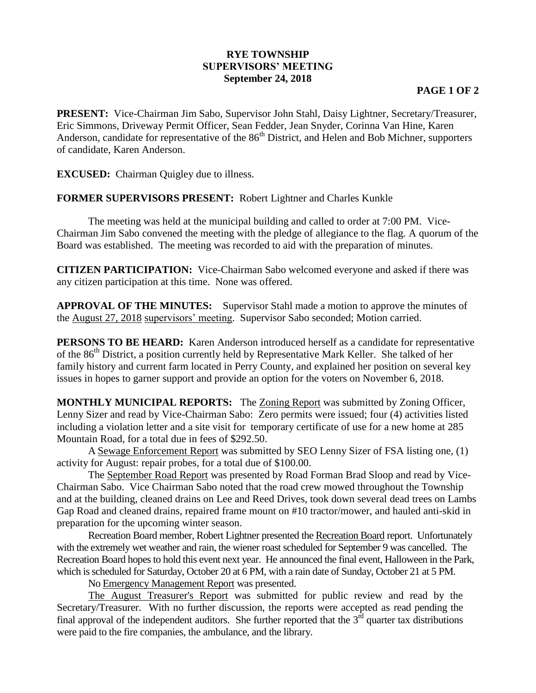## **RYE TOWNSHIP SUPERVISORS' MEETING September 24, 2018**

## **PAGE 1 OF 2**

**PRESENT:** Vice-Chairman Jim Sabo, Supervisor John Stahl, Daisy Lightner, Secretary/Treasurer, Eric Simmons, Driveway Permit Officer, Sean Fedder, Jean Snyder, Corinna Van Hine, Karen Anderson, candidate for representative of the  $86<sup>th</sup>$  District, and Helen and Bob Michner, supporters of candidate, Karen Anderson.

**EXCUSED:** Chairman Quigley due to illness.

## **FORMER SUPERVISORS PRESENT:** Robert Lightner and Charles Kunkle

The meeting was held at the municipal building and called to order at 7:00 PM. Vice-Chairman Jim Sabo convened the meeting with the pledge of allegiance to the flag. A quorum of the Board was established. The meeting was recorded to aid with the preparation of minutes.

**CITIZEN PARTICIPATION:** Vice-Chairman Sabo welcomed everyone and asked if there was any citizen participation at this time. None was offered.

**APPROVAL OF THE MINUTES:** Supervisor Stahl made a motion to approve the minutes of the August 27, 2018 supervisors' meeting. Supervisor Sabo seconded; Motion carried.

**PERSONS TO BE HEARD:** Karen Anderson introduced herself as a candidate for representative of the 86<sup>th</sup> District, a position currently held by Representative Mark Keller. She talked of her family history and current farm located in Perry County, and explained her position on several key issues in hopes to garner support and provide an option for the voters on November 6, 2018.

**MONTHLY MUNICIPAL REPORTS:** The Zoning Report was submitted by Zoning Officer, Lenny Sizer and read by Vice-Chairman Sabo: Zero permits were issued; four (4) activities listed including a violation letter and a site visit for temporary certificate of use for a new home at 285 Mountain Road, for a total due in fees of \$292.50.

A Sewage Enforcement Report was submitted by SEO Lenny Sizer of FSA listing one, (1) activity for August: repair probes, for a total due of \$100.00.

The September Road Report was presented by Road Forman Brad Sloop and read by Vice-Chairman Sabo. Vice Chairman Sabo noted that the road crew mowed throughout the Township and at the building, cleaned drains on Lee and Reed Drives, took down several dead trees on Lambs Gap Road and cleaned drains, repaired frame mount on #10 tractor/mower, and hauled anti-skid in preparation for the upcoming winter season.

Recreation Board member, Robert Lightner presented the Recreation Board report. Unfortunately with the extremely wet weather and rain, the wiener roast scheduled for September 9 was cancelled. The Recreation Board hopes to hold this event next year. He announced the final event, Halloween in the Park, which is scheduled for Saturday, October 20 at 6 PM, with a rain date of Sunday, October 21 at 5 PM.

No Emergency Management Report was presented.

The August Treasurer's Report was submitted for public review and read by the Secretary/Treasurer. With no further discussion, the reports were accepted as read pending the final approval of the independent auditors. She further reported that the  $3<sup>rd</sup>$  quarter tax distributions were paid to the fire companies, the ambulance, and the library.